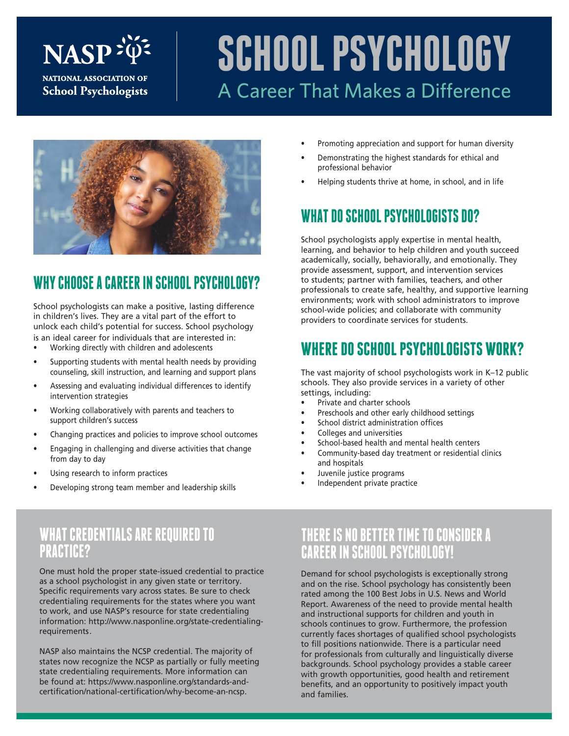# **NASP**

NATIONAL ASSOCIATION OF **School Psychologists** 

## **SCHOOL PSYCHOLOGY** A Career That Makes a Difference



### **WHY CHOOSE A CAREER IN SCHOOL PSYCHOLOGY?**

School psychologists can make a positive, lasting difference in children's lives. They are a vital part of the effort to unlock each child's potential for success. School psychology is an ideal career for individuals that are interested in:

- Working directly with children and adolescents
- Supporting students with mental health needs by providing counseling, skill instruction, and learning and support plans
- Assessing and evaluating individual differences to identify intervention strategies
- Working collaboratively with parents and teachers to support children's success
- Changing practices and policies to improve school outcomes
- Engaging in challenging and diverse activities that change from day to day
- Using research to inform practices
- Developing strong team member and leadership skills

#### Promoting appreciation and support for human diversity

- Demonstrating the highest standards for ethical and professional behavior
- Helping students thrive at home, in school, and in life

#### **WHAT DO SCHOOL PSYCHOLOGISTS DO?**

School psychologists apply expertise in mental health, learning, and behavior to help children and youth succeed academically, socially, behaviorally, and emotionally. They provide assessment, support, and intervention services to students; partner with families, teachers, and other professionals to create safe, healthy, and supportive learning environments; work with school administrators to improve school-wide policies; and collaborate with community providers to coordinate services for students.

#### **WHERE DO SCHOOL PSYCHOLOGISTS WORK?**

The vast majority of school psychologists work in K–12 public schools. They also provide services in a variety of other settings, including:

- Private and charter schools
- Preschools and other early childhood settings
- School district administration offices
- Colleges and universities
- School-based health and mental health centers
- Community-based day treatment or residential clinics and hospitals
- Juvenile justice programs
- Independent private practice

#### **WHAT CREDENTIALS ARE REQUIRED TO PRACTICE?**

One must hold the proper state-issued credential to practice as a school psychologist in any given state or territory. Specific requirements vary across states. Be sure to check credentialing requirements for the states where you want to work, and use NASP's resource for state credentialing information: http://www.nasponline.org/state-credentialingrequirements.

NASP also maintains the NCSP credential. The majority of states now recognize the NCSP as partially or fully meeting state credentialing requirements. More information can be found at: https://www.nasponline.org/standards-andcertification/national-certification/why-become-an-ncsp.

#### **THERE IS NO BETTER TIME TO CONSIDER A CAREER IN SCHOOL PSYCHOLOGY!**

Demand for school psychologists is exceptionally strong and on the rise. School psychology has consistently been rated among the 100 Best Jobs in U.S. News and World Report. Awareness of the need to provide mental health and instructional supports for children and youth in schools continues to grow. Furthermore, the profession currently faces shortages of qualified school psychologists to fill positions nationwide. There is a particular need for professionals from culturally and linguistically diverse backgrounds. School psychology provides a stable career with growth opportunities, good health and retirement benefits, and an opportunity to positively impact youth and families.